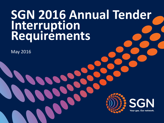# **SGN 2016 Annual Tender Interruption Requirements**

May 2016



**SGN** Your gas. Our network.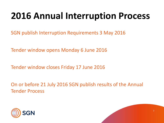# **2016 Annual Interruption Process**

SGN publish Interruption Requirements 3 May 2016

Tender window opens Monday 6 June 2016

Tender window closes Friday 17 June 2016

On or before 21 July 2016 SGN publish results of the Annual Tender Process



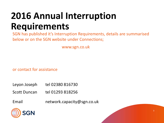# **2016 Annual Interruption Requirements**

SGN has published it's Interruption Requirements, details are summarised below or on the SGN website under Connections;

www.sgn.co.uk

or contact for assistance

- Leyon Joseph tel  $02380816730$
- Scott Duncan tel 01293 818256
- Email network.capacity@sgn.co.uk



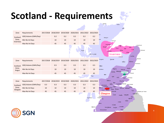# **Scotland - Requirements**



Thurso

4